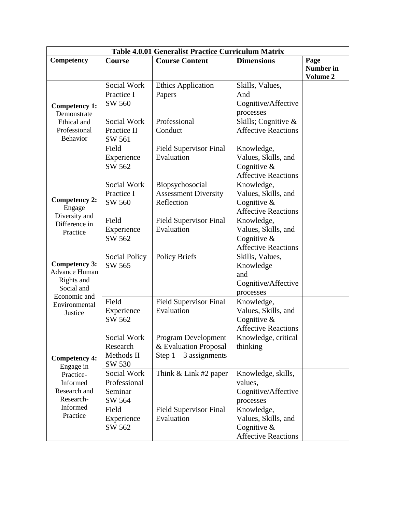| Table 4.0.01 Generalist Practice Curriculum Matrix                                                                   |                                                  |                                                                                 |                                                                                   |                                      |  |  |  |
|----------------------------------------------------------------------------------------------------------------------|--------------------------------------------------|---------------------------------------------------------------------------------|-----------------------------------------------------------------------------------|--------------------------------------|--|--|--|
| Competency                                                                                                           | Course                                           | <b>Course Content</b>                                                           | <b>Dimensions</b>                                                                 | Page<br><b>Number in</b><br>Volume 2 |  |  |  |
| <b>Competency 1:</b><br>Demonstrate<br>Ethical and<br>Professional<br>Behavior                                       | Social Work<br>Practice I<br>SW 560              | <b>Ethics Application</b><br>Papers                                             | Skills, Values,<br>And<br>Cognitive/Affective<br>processes                        |                                      |  |  |  |
|                                                                                                                      | Social Work<br>Practice II<br>SW 561             | Professional<br>Conduct                                                         | Skills; Cognitive &<br><b>Affective Reactions</b>                                 |                                      |  |  |  |
|                                                                                                                      | Field<br>Experience<br>SW 562                    | <b>Field Supervisor Final</b><br>Evaluation                                     | Knowledge,<br>Values, Skills, and<br>Cognitive $\&$<br><b>Affective Reactions</b> |                                      |  |  |  |
| <b>Competency 2:</b><br>Engage<br>Diversity and<br>Difference in<br>Practice                                         | Social Work<br>Practice I<br>SW 560              | Biopsychosocial<br><b>Assessment Diversity</b><br>Reflection                    | Knowledge,<br>Values, Skills, and<br>Cognitive $\&$<br><b>Affective Reactions</b> |                                      |  |  |  |
|                                                                                                                      | Field<br>Experience<br>SW 562                    | <b>Field Supervisor Final</b><br>Evaluation                                     | Knowledge,<br>Values, Skills, and<br>Cognitive $&$<br><b>Affective Reactions</b>  |                                      |  |  |  |
| <b>Competency 3:</b><br><b>Advance Human</b><br>Rights and<br>Social and<br>Economic and<br>Environmental<br>Justice | <b>Social Policy</b><br>SW 565                   | <b>Policy Briefs</b>                                                            | Skills, Values,<br>Knowledge<br>and<br>Cognitive/Affective<br>processes           |                                      |  |  |  |
|                                                                                                                      | Field<br>Experience<br>SW 562                    | <b>Field Supervisor Final</b><br>Evaluation                                     | Knowledge,<br>Values, Skills, and<br>Cognitive $&$<br><b>Affective Reactions</b>  |                                      |  |  |  |
| <b>Competency 4:</b><br>Engage in<br>Practice-<br>Informed<br>Research and<br>Research-<br>Informed<br>Practice      | Social Work<br>Research<br>Methods II<br>SW 530  | <b>Program Development</b><br>& Evaluation Proposal<br>Step $1 - 3$ assignments | Knowledge, critical<br>thinking                                                   |                                      |  |  |  |
|                                                                                                                      | Social Work<br>Professional<br>Seminar<br>SW 564 | Think & Link #2 paper                                                           | Knowledge, skills,<br>values,<br>Cognitive/Affective<br>processes                 |                                      |  |  |  |
|                                                                                                                      | Field<br>Experience<br>SW 562                    | <b>Field Supervisor Final</b><br>Evaluation                                     | Knowledge,<br>Values, Skills, and<br>Cognitive $\&$<br><b>Affective Reactions</b> |                                      |  |  |  |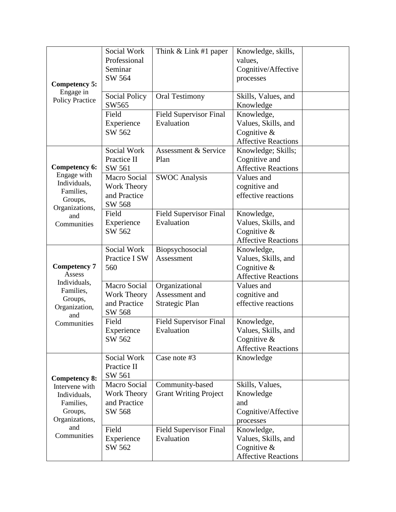|                                                             | Social Work          | Think $&$ Link #1 paper          | Knowledge, skills,          |  |
|-------------------------------------------------------------|----------------------|----------------------------------|-----------------------------|--|
|                                                             | Professional         |                                  | values,                     |  |
|                                                             | Seminar              |                                  | Cognitive/Affective         |  |
|                                                             | SW 564               |                                  | processes                   |  |
| <b>Competency 5:</b><br>Engage in<br><b>Policy Practice</b> |                      |                                  |                             |  |
|                                                             | <b>Social Policy</b> | <b>Oral Testimony</b>            | Skills, Values, and         |  |
|                                                             | SW565                |                                  | Knowledge                   |  |
|                                                             | Field                | <b>Field Supervisor Final</b>    | Knowledge,                  |  |
|                                                             | Experience           | Evaluation                       | Values, Skills, and         |  |
|                                                             | SW 562               |                                  | Cognitive $\&$              |  |
|                                                             |                      |                                  | <b>Affective Reactions</b>  |  |
|                                                             | Social Work          | Assessment & Service             | Knowledge; Skills;          |  |
|                                                             | Practice II          | Plan                             | Cognitive and               |  |
| <b>Competency 6:</b>                                        | SW 561               |                                  | <b>Affective Reactions</b>  |  |
| Engage with<br>Individuals,                                 | Macro Social         | <b>SWOC Analysis</b>             | Values and                  |  |
| Families,                                                   | Work Theory          |                                  | cognitive and               |  |
| Groups,                                                     | and Practice         |                                  | effective reactions         |  |
| Organizations,                                              | SW 568               |                                  |                             |  |
| and                                                         | Field                | Field Supervisor Final           | Knowledge,                  |  |
| Communities                                                 | Experience           | Evaluation                       | Values, Skills, and         |  |
|                                                             | SW 562               |                                  | Cognitive $\&$              |  |
|                                                             |                      |                                  | <b>Affective Reactions</b>  |  |
|                                                             | Social Work          | Biopsychosocial                  | Knowledge,                  |  |
| <b>Competency 7</b>                                         | Practice I SW        | Assessment                       | Values, Skills, and         |  |
| Assess                                                      | 560                  |                                  | Cognitive $\&$              |  |
| Individuals,                                                | <b>Macro Social</b>  |                                  | <b>Affective Reactions</b>  |  |
| Families,                                                   | Work Theory          | Organizational<br>Assessment and | Values and<br>cognitive and |  |
| Groups,                                                     | and Practice         | Strategic Plan                   | effective reactions         |  |
| Organization,                                               | SW 568               |                                  |                             |  |
| and                                                         | Field                | <b>Field Supervisor Final</b>    | Knowledge,                  |  |
| Communities                                                 | Experience           | Evaluation                       | Values, Skills, and         |  |
|                                                             | SW 562               |                                  | Cognitive $\&$              |  |
|                                                             |                      |                                  | <b>Affective Reactions</b>  |  |
|                                                             | Social Work          | Case note #3                     | Knowledge                   |  |
|                                                             | Practice II          |                                  |                             |  |
| <b>Competency 8:</b>                                        | SW 561               |                                  |                             |  |
| Intervene with                                              | Macro Social         | Community-based                  | Skills, Values,             |  |
| Individuals,                                                | Work Theory          | <b>Grant Writing Project</b>     | Knowledge                   |  |
| Families,<br>Groups,<br>Organizations,                      | and Practice         |                                  | and                         |  |
|                                                             | SW 568               |                                  | Cognitive/Affective         |  |
|                                                             |                      |                                  | processes                   |  |
| and                                                         | Field                | Field Supervisor Final           | Knowledge,                  |  |
| Communities                                                 | Experience           | Evaluation                       | Values, Skills, and         |  |
|                                                             | SW 562               |                                  | Cognitive $&$               |  |
|                                                             |                      |                                  | <b>Affective Reactions</b>  |  |